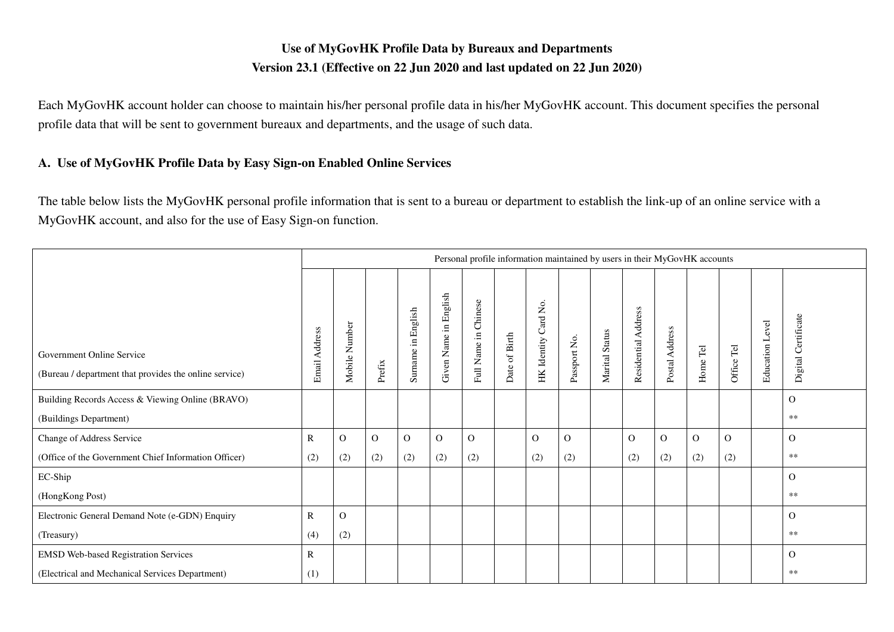## **Use of MyGovHK Profile Data by Bureaux and Departments Version 23.1 (Effective on 22 Jun 2020 and last updated on 22 Jun 2020)**

Each MyGovHK account holder can choose to maintain his/her personal profile data in his/her MyGovHK account. This document specifies the personal profile data that will be sent to government bureaux and departments, and the usage of such data.

## **A. Use of MyGovHK Profile Data by Easy Sign-on Enabled Online Services**

The table below lists the MyGovHK personal profile information that is sent to a bureau or department to establish the link-up of an online service with a MyGovHK account, and also for the use of Easy Sign-on function.

|                                                                                     | Personal profile information maintained by users in their MyGovHK accounts |               |          |                    |                               |                                |                  |                         |              |                |                     |                |                                 |            |                    |                     |
|-------------------------------------------------------------------------------------|----------------------------------------------------------------------------|---------------|----------|--------------------|-------------------------------|--------------------------------|------------------|-------------------------|--------------|----------------|---------------------|----------------|---------------------------------|------------|--------------------|---------------------|
| Government Online Service<br>(Bureau / department that provides the online service) | Email Address                                                              | Mobile Number | Prefix   | Surname in English | in English<br>Name<br>Given 1 | Chinese<br>$\Xi.$<br>Full Name | of Birth<br>Date | Card No.<br>HK Identity | Passport No. | Marital Status | Residential Address | Postal Address | $\overline{\text{Te}}$<br>Home' | Office Tel | Level<br>Education | Digital Certificate |
| Building Records Access & Viewing Online (BRAVO)                                    |                                                                            |               |          |                    |                               |                                |                  |                         |              |                |                     |                |                                 |            |                    | $\Omega$            |
| (Buildings Department)                                                              |                                                                            |               |          |                    |                               |                                |                  |                         |              |                |                     |                |                                 |            |                    | $**$                |
| Change of Address Service                                                           | $\mathbb{R}$                                                               | $\Omega$      | $\Omega$ | $\Omega$           | $\Omega$                      | $\Omega$                       |                  | $\Omega$                | $\Omega$     |                | $\Omega$            | $\Omega$       | $\Omega$                        | $\Omega$   |                    | $\Omega$            |
| (Office of the Government Chief Information Officer)                                | (2)                                                                        | (2)           | (2)      | (2)                | (2)                           | (2)                            |                  | (2)                     | (2)          |                | (2)                 | (2)            | (2)                             | (2)        |                    | **                  |
| EC-Ship                                                                             |                                                                            |               |          |                    |                               |                                |                  |                         |              |                |                     |                |                                 |            |                    | $\Omega$            |
| (HongKong Post)                                                                     |                                                                            |               |          |                    |                               |                                |                  |                         |              |                |                     |                |                                 |            |                    | **                  |
| Electronic General Demand Note (e-GDN) Enquiry                                      | R                                                                          | $\mathbf{O}$  |          |                    |                               |                                |                  |                         |              |                |                     |                |                                 |            |                    | $\Omega$            |
| (Treasury)                                                                          | (4)                                                                        | (2)           |          |                    |                               |                                |                  |                         |              |                |                     |                |                                 |            |                    | $**$                |
| <b>EMSD Web-based Registration Services</b>                                         | R                                                                          |               |          |                    |                               |                                |                  |                         |              |                |                     |                |                                 |            |                    | $\Omega$            |
| (Electrical and Mechanical Services Department)                                     | (1)                                                                        |               |          |                    |                               |                                |                  |                         |              |                |                     |                |                                 |            |                    | **                  |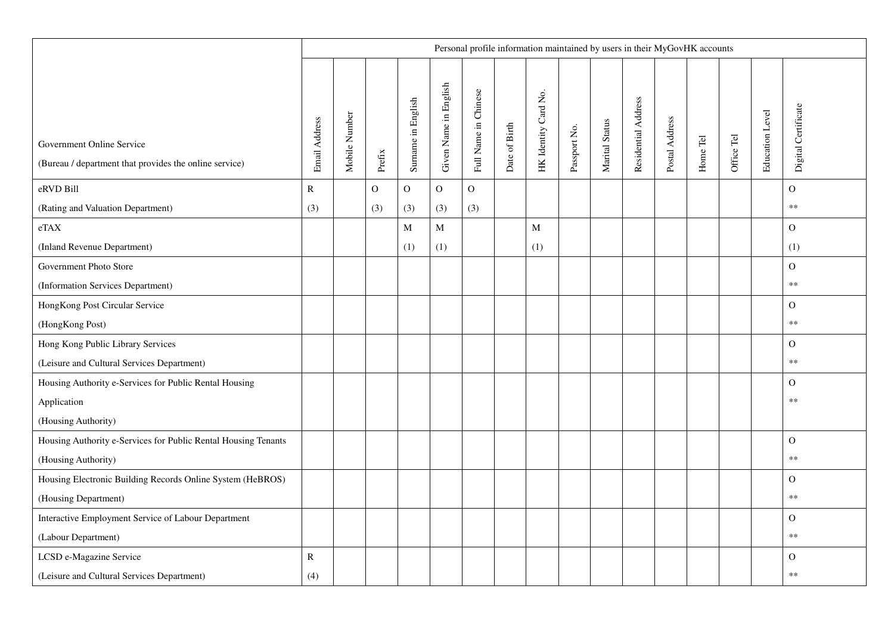|                                                                                     |               |               |             |                    |                       |                      |               | Personal profile information maintained by users in their MyGovHK accounts |              |                |                     |                |                                    |            |                 |                     |
|-------------------------------------------------------------------------------------|---------------|---------------|-------------|--------------------|-----------------------|----------------------|---------------|----------------------------------------------------------------------------|--------------|----------------|---------------------|----------------|------------------------------------|------------|-----------------|---------------------|
| Government Online Service<br>(Bureau / department that provides the online service) | Email Address | Mobile Number | Prefix      | Surname in English | Given Name in English | Full Name in Chinese | Date of Birth | HK Identity Card No.                                                       | Passport No. | Marital Status | Residential Address | Postal Address | Home $\operatorname{\mathsf{Tel}}$ | Office Tel | Education Level | Digital Certificate |
| eRVD Bill                                                                           | $\mathbf R$   |               | $\mathbf O$ | $\mathbf O$        | $\mathbf{O}$          | $\overline{O}$       |               |                                                                            |              |                |                     |                |                                    |            |                 | ${\rm O}$           |
| (Rating and Valuation Department)                                                   | (3)           |               | (3)         | (3)                | (3)                   | (3)                  |               |                                                                            |              |                |                     |                |                                    |            |                 | $\ast\ast$          |
| eTAX                                                                                |               |               |             | $\mathbf M$        | M                     |                      |               | M                                                                          |              |                |                     |                |                                    |            |                 | $\Omega$            |
| (Inland Revenue Department)                                                         |               |               |             | (1)                | (1)                   |                      |               | (1)                                                                        |              |                |                     |                |                                    |            |                 | (1)                 |
| Government Photo Store                                                              |               |               |             |                    |                       |                      |               |                                                                            |              |                |                     |                |                                    |            |                 | $\mathbf O$         |
| (Information Services Department)                                                   |               |               |             |                    |                       |                      |               |                                                                            |              |                |                     |                |                                    |            |                 | $\ast\ast$          |
| HongKong Post Circular Service                                                      |               |               |             |                    |                       |                      |               |                                                                            |              |                |                     |                |                                    |            |                 | $\mathbf{O}$        |
| (HongKong Post)                                                                     |               |               |             |                    |                       |                      |               |                                                                            |              |                |                     |                |                                    |            |                 | $**$                |
| Hong Kong Public Library Services                                                   |               |               |             |                    |                       |                      |               |                                                                            |              |                |                     |                |                                    |            |                 | $\Omega$            |
| (Leisure and Cultural Services Department)                                          |               |               |             |                    |                       |                      |               |                                                                            |              |                |                     |                |                                    |            |                 | $\ast\ast$          |
| Housing Authority e-Services for Public Rental Housing                              |               |               |             |                    |                       |                      |               |                                                                            |              |                |                     |                |                                    |            |                 | $\Omega$            |
| Application                                                                         |               |               |             |                    |                       |                      |               |                                                                            |              |                |                     |                |                                    |            |                 | $***$               |
| (Housing Authority)                                                                 |               |               |             |                    |                       |                      |               |                                                                            |              |                |                     |                |                                    |            |                 |                     |
| Housing Authority e-Services for Public Rental Housing Tenants                      |               |               |             |                    |                       |                      |               |                                                                            |              |                |                     |                |                                    |            |                 | $\mathbf O$         |
| (Housing Authority)                                                                 |               |               |             |                    |                       |                      |               |                                                                            |              |                |                     |                |                                    |            |                 | $\ast\ast$          |
| Housing Electronic Building Records Online System (HeBROS)                          |               |               |             |                    |                       |                      |               |                                                                            |              |                |                     |                |                                    |            |                 | $\mathbf O$         |
| (Housing Department)                                                                |               |               |             |                    |                       |                      |               |                                                                            |              |                |                     |                |                                    |            |                 | $\ast\ast$          |
| Interactive Employment Service of Labour Department                                 |               |               |             |                    |                       |                      |               |                                                                            |              |                |                     |                |                                    |            |                 | $\mathbf{O}$        |
| (Labour Department)                                                                 |               |               |             |                    |                       |                      |               |                                                                            |              |                |                     |                |                                    |            |                 | $\ast\ast$          |
| LCSD e-Magazine Service                                                             | R             |               |             |                    |                       |                      |               |                                                                            |              |                |                     |                |                                    |            |                 | $\mathbf{O}$        |
| (Leisure and Cultural Services Department)                                          | (4)           |               |             |                    |                       |                      |               |                                                                            |              |                |                     |                |                                    |            |                 | $***$               |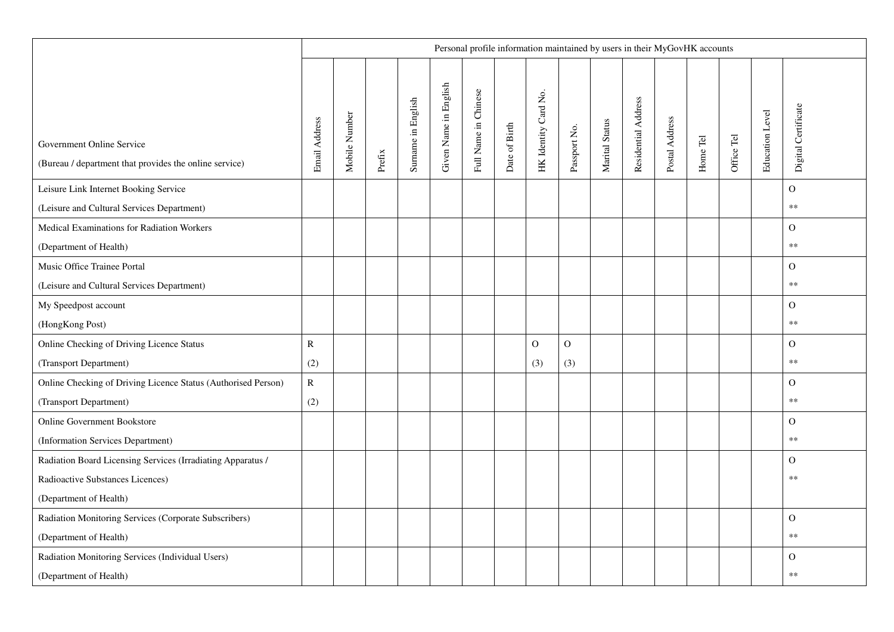|                                                                                     | Personal profile information maintained by users in their MyGovHK accounts |               |        |                    |                       |                      |               |                      |              |                |                     |                |          |            |                        |                     |
|-------------------------------------------------------------------------------------|----------------------------------------------------------------------------|---------------|--------|--------------------|-----------------------|----------------------|---------------|----------------------|--------------|----------------|---------------------|----------------|----------|------------|------------------------|---------------------|
| Government Online Service<br>(Bureau / department that provides the online service) | Email Address                                                              | Mobile Number | Prefix | Surname in English | Given Name in English | Full Name in Chinese | Date of Birth | HK Identity Card No. | Passport No. | Marital Status | Residential Address | Postal Address | Home Tel | Office Tel | <b>Education Level</b> | Digital Certificate |
| Leisure Link Internet Booking Service                                               |                                                                            |               |        |                    |                       |                      |               |                      |              |                |                     |                |          |            |                        | $\mathbf{O}$        |
| (Leisure and Cultural Services Department)                                          |                                                                            |               |        |                    |                       |                      |               |                      |              |                |                     |                |          |            |                        | $\ast\ast$          |
| Medical Examinations for Radiation Workers                                          |                                                                            |               |        |                    |                       |                      |               |                      |              |                |                     |                |          |            |                        | $\Omega$            |
| (Department of Health)                                                              |                                                                            |               |        |                    |                       |                      |               |                      |              |                |                     |                |          |            |                        | $\ast\ast$          |
| Music Office Trainee Portal                                                         |                                                                            |               |        |                    |                       |                      |               |                      |              |                |                     |                |          |            |                        | $\Omega$            |
| (Leisure and Cultural Services Department)                                          |                                                                            |               |        |                    |                       |                      |               |                      |              |                |                     |                |          |            |                        | $**$                |
| My Speedpost account                                                                |                                                                            |               |        |                    |                       |                      |               |                      |              |                |                     |                |          |            |                        | $\mathbf{O}$        |
| (HongKong Post)                                                                     |                                                                            |               |        |                    |                       |                      |               |                      |              |                |                     |                |          |            |                        | $\ast\ast$          |
| Online Checking of Driving Licence Status                                           | $\mathbf R$                                                                |               |        |                    |                       |                      |               | $\mathcal{O}$        | $\mathbf 0$  |                |                     |                |          |            |                        | $\mathbf O$         |
| (Transport Department)                                                              | (2)                                                                        |               |        |                    |                       |                      |               | (3)                  | (3)          |                |                     |                |          |            |                        | $**$                |
| Online Checking of Driving Licence Status (Authorised Person)                       | $\mathbf R$                                                                |               |        |                    |                       |                      |               |                      |              |                |                     |                |          |            |                        | $\Omega$            |
| (Transport Department)                                                              | (2)                                                                        |               |        |                    |                       |                      |               |                      |              |                |                     |                |          |            |                        | $**$                |
| <b>Online Government Bookstore</b>                                                  |                                                                            |               |        |                    |                       |                      |               |                      |              |                |                     |                |          |            |                        | $\Omega$            |
| (Information Services Department)                                                   |                                                                            |               |        |                    |                       |                      |               |                      |              |                |                     |                |          |            |                        | $\ast\ast$          |
| Radiation Board Licensing Services (Irradiating Apparatus /                         |                                                                            |               |        |                    |                       |                      |               |                      |              |                |                     |                |          |            |                        | $\mathbf{O}$        |
| Radioactive Substances Licences)                                                    |                                                                            |               |        |                    |                       |                      |               |                      |              |                |                     |                |          |            |                        | $**$                |
| (Department of Health)                                                              |                                                                            |               |        |                    |                       |                      |               |                      |              |                |                     |                |          |            |                        |                     |
| Radiation Monitoring Services (Corporate Subscribers)                               |                                                                            |               |        |                    |                       |                      |               |                      |              |                |                     |                |          |            |                        | $\Omega$            |
| (Department of Health)                                                              |                                                                            |               |        |                    |                       |                      |               |                      |              |                |                     |                |          |            |                        | $\ast\ast$          |
| Radiation Monitoring Services (Individual Users)                                    |                                                                            |               |        |                    |                       |                      |               |                      |              |                |                     |                |          |            |                        | $\mathbf{O}$        |
| (Department of Health)                                                              |                                                                            |               |        |                    |                       |                      |               |                      |              |                |                     |                |          |            |                        | $**$                |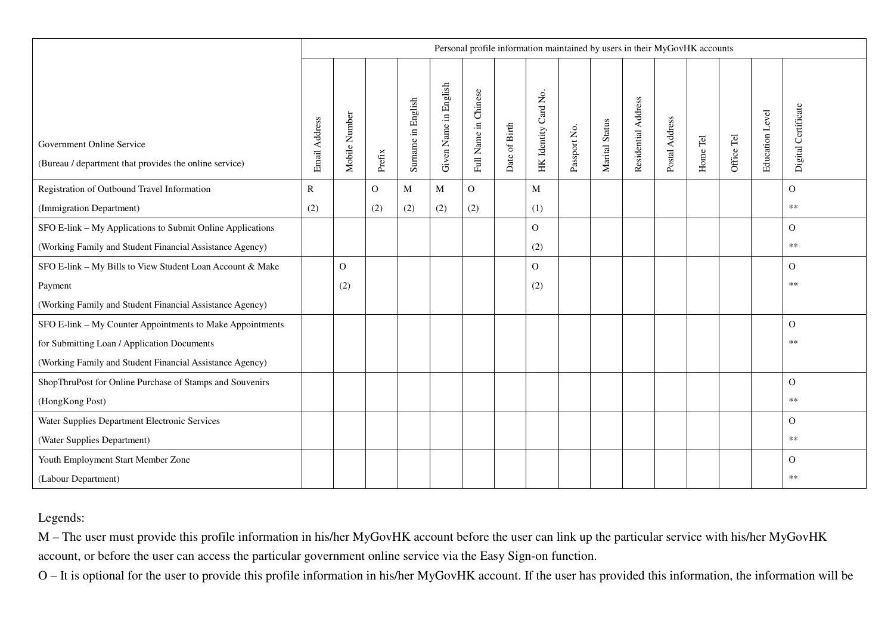|                                                                                     | Personal profile information maintained by users in their MyGovHK accounts |               |          |                    |                       |                      |               |                      |              |                |                     |                |          |            |                 |                     |
|-------------------------------------------------------------------------------------|----------------------------------------------------------------------------|---------------|----------|--------------------|-----------------------|----------------------|---------------|----------------------|--------------|----------------|---------------------|----------------|----------|------------|-----------------|---------------------|
| Government Online Service<br>(Bureau / department that provides the online service) | Email Address                                                              | Mobile Number | Prefix   | Surname in English | Given Name in English | Full Name in Chinese | Date of Birth | HK Identity Card No. | Passport No. | Marital Status | Residential Address | Postal Address | Home Tel | Office Tel | Education Level | Digital Certificate |
| Registration of Outbound Travel Information                                         | $\mathbb{R}$                                                               |               | $\Omega$ | M                  | M                     | $\Omega$             |               | M                    |              |                |                     |                |          |            |                 | $\Omega$            |
| (Immigration Department)                                                            | (2)                                                                        |               | (2)      | (2)                | (2)                   | (2)                  |               | (1)                  |              |                |                     |                |          |            |                 | $\ast\ast$          |
| SFO E-link - My Applications to Submit Online Applications                          |                                                                            |               |          |                    |                       |                      |               | $\Omega$             |              |                |                     |                |          |            |                 | $\Omega$            |
| (Working Family and Student Financial Assistance Agency)                            |                                                                            |               |          |                    |                       |                      |               | (2)                  |              |                |                     |                |          |            |                 | $**$                |
| SFO E-link - My Bills to View Student Loan Account & Make                           |                                                                            | $\Omega$      |          |                    |                       |                      |               | $\mathbf{O}$         |              |                |                     |                |          |            |                 | $\mathbf{O}$        |
| Payment                                                                             |                                                                            | (2)           |          |                    |                       |                      |               | (2)                  |              |                |                     |                |          |            |                 | **                  |
| (Working Family and Student Financial Assistance Agency)                            |                                                                            |               |          |                    |                       |                      |               |                      |              |                |                     |                |          |            |                 |                     |
| SFO E-link - My Counter Appointments to Make Appointments                           |                                                                            |               |          |                    |                       |                      |               |                      |              |                |                     |                |          |            |                 | $\mathbf{O}$        |
| for Submitting Loan / Application Documents                                         |                                                                            |               |          |                    |                       |                      |               |                      |              |                |                     |                |          |            |                 | $**$                |
| (Working Family and Student Financial Assistance Agency)                            |                                                                            |               |          |                    |                       |                      |               |                      |              |                |                     |                |          |            |                 |                     |
| ShopThruPost for Online Purchase of Stamps and Souvenirs                            |                                                                            |               |          |                    |                       |                      |               |                      |              |                |                     |                |          |            |                 | $\Omega$            |
| (HongKong Post)                                                                     |                                                                            |               |          |                    |                       |                      |               |                      |              |                |                     |                |          |            |                 | $**$                |
| Water Supplies Department Electronic Services                                       |                                                                            |               |          |                    |                       |                      |               |                      |              |                |                     |                |          |            |                 | $\Omega$            |
| (Water Supplies Department)                                                         |                                                                            |               |          |                    |                       |                      |               |                      |              |                |                     |                |          |            |                 | $**$                |
| Youth Employment Start Member Zone                                                  |                                                                            |               |          |                    |                       |                      |               |                      |              |                |                     |                |          |            |                 | $\Omega$            |
| (Labour Department)                                                                 |                                                                            |               |          |                    |                       |                      |               |                      |              |                |                     |                |          |            |                 | $**$                |

## Legends:

M – The user must provide this profile information in his/her MyGovHK account before the user can link up the particular service with his/her MyGovHK account, or before the user can access the particular government online service via the Easy Sign-on function.

O – It is optional for the user to provide this profile information in his/her MyGovHK account. If the user has provided this information, the information will be